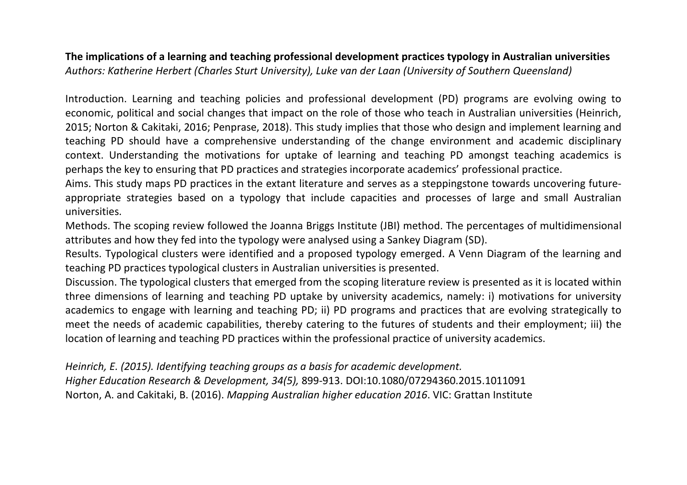## **The implications of a learning and teaching professional development practices typology in Australian universities** *Authors: Katherine Herbert (Charles Sturt University), Luke van der Laan (University of Southern Queensland)*

Introduction. Learning and teaching policies and professional development (PD) programs are evolving owing to economic, political and social changes that impact on the role of those who teach in Australian universities (Heinrich, 2015; Norton & Cakitaki, 2016; Penprase, 2018). This study implies that those who design and implement learning and teaching PD should have a comprehensive understanding of the change environment and academic disciplinary context. Understanding the motivations for uptake of learning and teaching PD amongst teaching academics is perhaps the key to ensuring that PD practices and strategies incorporate academics' professional practice.

Aims. This study maps PD practices in the extant literature and serves as a steppingstone towards uncovering futureappropriate strategies based on a typology that include capacities and processes of large and small Australian universities.

Methods. The scoping review followed the Joanna Briggs Institute (JBI) method. The percentages of multidimensional attributes and how they fed into the typology were analysed using a Sankey Diagram (SD).

Results. Typological clusters were identified and a proposed typology emerged. A Venn Diagram of the learning and teaching PD practices typological clusters in Australian universities is presented.

Discussion. The typological clusters that emerged from the scoping literature review is presented as it is located within three dimensions of learning and teaching PD uptake by university academics, namely: i) motivations for university academics to engage with learning and teaching PD; ii) PD programs and practices that are evolving strategically to meet the needs of academic capabilities, thereby catering to the futures of students and their employment; iii) the location of learning and teaching PD practices within the professional practice of university academics.

*Heinrich, E. (2015). Identifying teaching groups as a basis for academic development. Higher Education Research & Development, 34(5),* 899-913. DOI:10.1080/07294360.2015.1011091 Norton, A. and Cakitaki, B. (2016). *Mapping Australian higher education 2016*. VIC: Grattan Institute